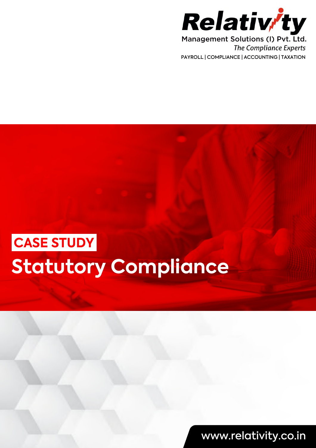

**The Compliance Experts** PAYROLL | COMPLIANCE | ACCOUNTING | TAXATION

# **Statutory Compliance CASE STUDY**

www.relativity.co.in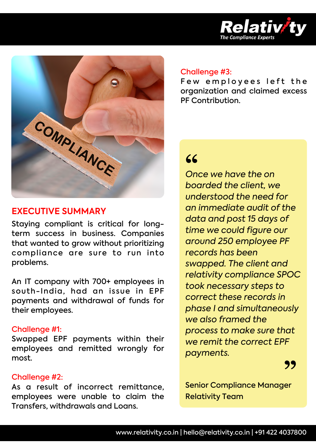



#### **EXECUTIVE SUMMARY**

Staying compliant is critical for longterm success in business. Companies that wanted to grow without prioritizing compliance are sure to run into problems.

An IT company with 700+ employees in south-India, had an issue in EPF payments and withdrawal of funds for their employees.

#### Challenge #1:

Swapped EPF payments within their employees and remitted wrongly for most.

#### Challenge #2:

As a result of incorrect remittance, employees were unable to claim the Transfers, withdrawals and Loans.

#### Challenge #3:

Few employees left the organization and claimed excess PF Contribution.

### **"**

*Once we have the on boarded the client, we understood the need for an immediate audit of the data and post 15 days of time we could fgure our around 250 employee PF records has been swapped. The client and relativity compliance SPOC took necessary steps to correct these records in phase I and simultaneously we also framed the process to make sure that we remit the correct EPF payments.*

**"**

Senior Compliance Manager Relativity Team